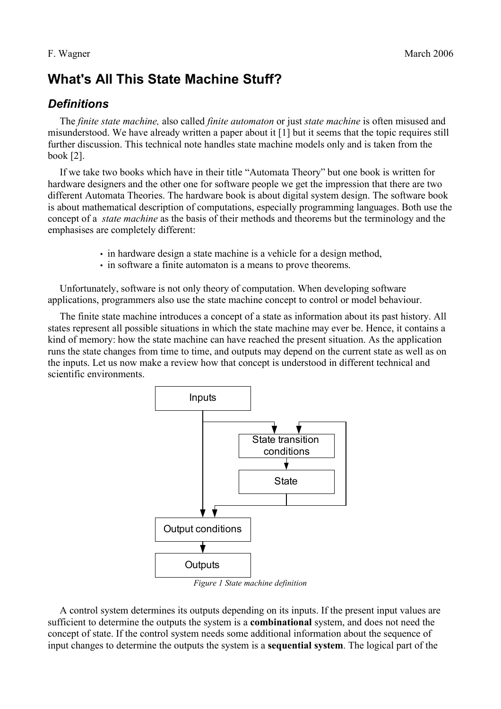# **What's All This State Machine Stuff?**

### *Definitions*

The *finite state machine,* also called *finite automaton* or just *state machine* is often misused and misunderstood. We have already written a paper about it [1] but it seems that the topic requires still further discussion. This technical note handles state machine models only and is taken from the book [2].

If we take two books which have in their title "Automata Theory" but one book is written for hardware designers and the other one for software people we get the impression that there are two different Automata Theories. The hardware book is about digital system design. The software book is about mathematical description of computations, especially programming languages. Both use the concept of a *state machine* as the basis of their methods and theorems but the terminology and the emphasises are completely different:

- in hardware design a state machine is a vehicle for a design method,
- in software a finite automaton is a means to prove theorems.

Unfortunately, software is not only theory of computation. When developing software applications, programmers also use the state machine concept to control or model behaviour.

The finite state machine introduces a concept of a state as information about its past history. All states represent all possible situations in which the state machine may ever be. Hence, it contains a kind of memory: how the state machine can have reached the present situation. As the application runs the state changes from time to time, and outputs may depend on the current state as well as on the inputs. Let us now make a review how that concept is understood in different technical and scientific environments.



<span id="page-0-0"></span>*Figure 1 State machine definition*

A control system determines its outputs depending on its inputs. If the present input values are sufficient to determine the outputs the system is a **combinational** system, and does not need the concept of state. If the control system needs some additional information about the sequence of input changes to determine the outputs the system is a **sequential system**. The logical part of the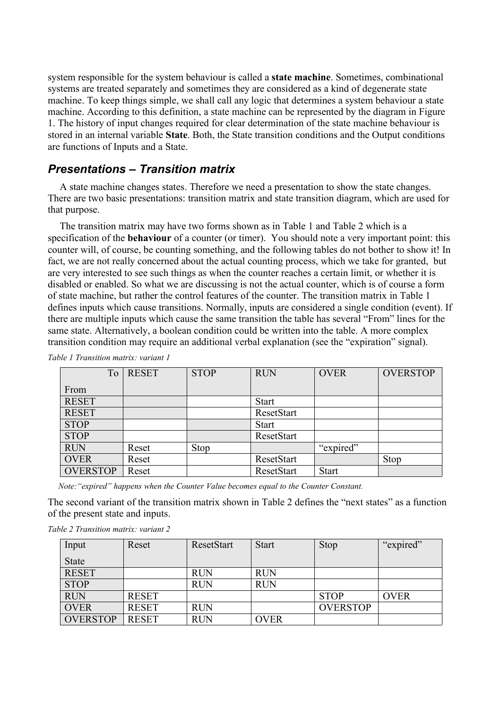system responsible for the system behaviour is called a **state machine**. Sometimes, combinational systems are treated separately and sometimes they are considered as a kind of degenerate state machine. To keep things simple, we shall call any logic that determines a system behaviour a state machine. According to this definition, a state machine can be represented by the diagram in [Figure](#page-0-0) [1.](#page-0-0) The history of input changes required for clear determination of the state machine behaviour is stored in an internal variable **State**. Both, the State transition conditions and the Output conditions are functions of Inputs and a State.

#### *Presentations – Transition matrix*

A state machine changes states. Therefore we need a presentation to show the state changes. There are two basic presentations: transition matrix and state transition diagram, which are used for that purpose.

The transition matrix may have two forms shown as in [Table 1](#page-1-1) and [Table 2](#page-1-0) which is a specification of the **behaviour** of a counter (or timer). You should note a very important point: this counter will, of course, be counting something, and the following tables do not bother to show it! In fact, we are not really concerned about the actual counting process, which we take for granted, but are very interested to see such things as when the counter reaches a certain limit, or whether it is disabled or enabled. So what we are discussing is not the actual counter, which is of course a form of state machine, but rather the control features of the counter. The transition matrix in [Table 1](#page-1-1) defines inputs which cause transitions. Normally, inputs are considered a single condition (event). If there are multiple inputs which cause the same transition the table has several "From" lines for the same state. Alternatively, a boolean condition could be written into the table. A more complex transition condition may require an additional verbal explanation (see the "expiration" signal).

<span id="page-1-1"></span>

|                 | To | <b>RESET</b> | <b>STOP</b> | <b>RUN</b>   | <b>OVER</b>  | <b>OVERSTOP</b> |
|-----------------|----|--------------|-------------|--------------|--------------|-----------------|
| From            |    |              |             |              |              |                 |
| <b>RESET</b>    |    |              |             | <b>Start</b> |              |                 |
| <b>RESET</b>    |    |              |             | ResetStart   |              |                 |
| <b>STOP</b>     |    |              |             | <b>Start</b> |              |                 |
| <b>STOP</b>     |    |              |             | ResetStart   |              |                 |
| <b>RUN</b>      |    | Reset        | <b>Stop</b> |              | "expired"    |                 |
| <b>OVER</b>     |    | Reset        |             | ResetStart   |              | <b>Stop</b>     |
| <b>OVERSTOP</b> |    | Reset        |             | ResetStart   | <b>Start</b> |                 |

*Table 1 Transition matrix: variant 1*

 *Note:"expired" happens when the Counter Value becomes equal to the Counter Constant.*

The second variant of the transition matrix shown in [Table 2](#page-1-0) defines the "next states" as a function of the present state and inputs.

<span id="page-1-0"></span>

| Input           | Reset        | ResetStart | <b>Start</b> | <b>Stop</b>     | "expired"   |
|-----------------|--------------|------------|--------------|-----------------|-------------|
| <b>State</b>    |              |            |              |                 |             |
| <b>RESET</b>    |              | <b>RUN</b> | <b>RUN</b>   |                 |             |
| <b>STOP</b>     |              | <b>RUN</b> | <b>RUN</b>   |                 |             |
| <b>RUN</b>      | <b>RESET</b> |            |              | <b>STOP</b>     | <b>OVER</b> |
| <b>OVER</b>     | <b>RESET</b> | <b>RUN</b> |              | <b>OVERSTOP</b> |             |
| <b>OVERSTOP</b> | <b>RESET</b> | <b>RUN</b> | <b>OVER</b>  |                 |             |

*Table 2 Transition matrix: variant 2*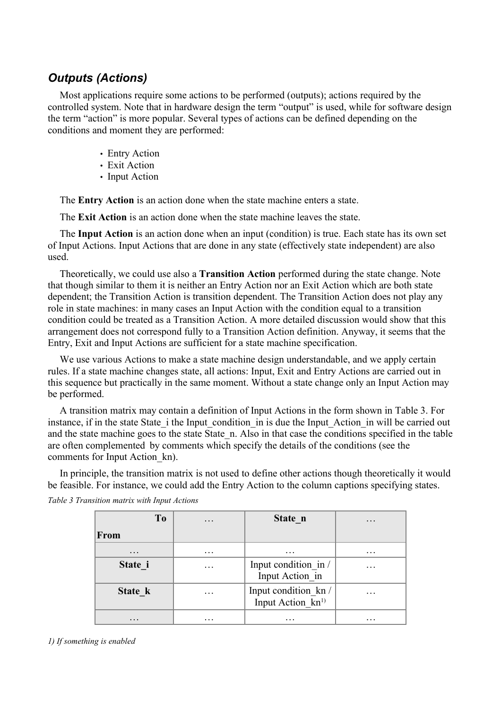### *Outputs (Actions)*

Most applications require some actions to be performed (outputs); actions required by the controlled system. Note that in hardware design the term "output" is used, while for software design the term "action" is more popular. Several types of actions can be defined depending on the conditions and moment they are performed:

- Entry Action
- Exit Action
- Input Action

The **Entry Action** is an action done when the state machine enters a state.

The **Exit Action** is an action done when the state machine leaves the state.

The **Input Action** is an action done when an input (condition) is true. Each state has its own set of Input Actions. Input Actions that are done in any state (effectively state independent) are also used.

Theoretically, we could use also a **Transition Action** performed during the state change. Note that though similar to them it is neither an Entry Action nor an Exit Action which are both state dependent; the Transition Action is transition dependent. The Transition Action does not play any role in state machines: in many cases an Input Action with the condition equal to a transition condition could be treated as a Transition Action. A more detailed discussion would show that this arrangement does not correspond fully to a Transition Action definition. Anyway, it seems that the Entry, Exit and Input Actions are sufficient for a state machine specification.

We use various Actions to make a state machine design understandable, and we apply certain rules. If a state machine changes state, all actions: Input, Exit and Entry Actions are carried out in this sequence but practically in the same moment. Without a state change only an Input Action may be performed.

A transition matrix may contain a definition of Input Actions in the form shown in [Table 3.](#page-2-0) For instance, if in the state State i the Input condition in is due the Input Action in will be carried out and the state machine goes to the state State n. Also in that case the conditions specified in the table are often complemented by comments which specify the details of the conditions (see the comments for Input Action\_kn).

In principle, the transition matrix is not used to define other actions though theoretically it would be feasible. For instance, we could add the Entry Action to the column captions specifying states.

| To                | $\cdot$   | State n                                                  | $\cdot$   |
|-------------------|-----------|----------------------------------------------------------|-----------|
| From              |           |                                                          |           |
| $\cdot\cdot\cdot$ | $\cdot$   | $\cdot\cdot\cdot$                                        | $\ddotsc$ |
| State i           | .         | Input condition in /<br>Input Action in                  | .         |
| State k           | $\ddotsc$ | Input condition_kn /<br>Input Action $\overline{k}n^{1}$ | .         |
| $\cdots$          |           | .                                                        | .         |

<span id="page-2-0"></span>*Table 3 Transition matrix with Input Actions*

*1) If something is enabled*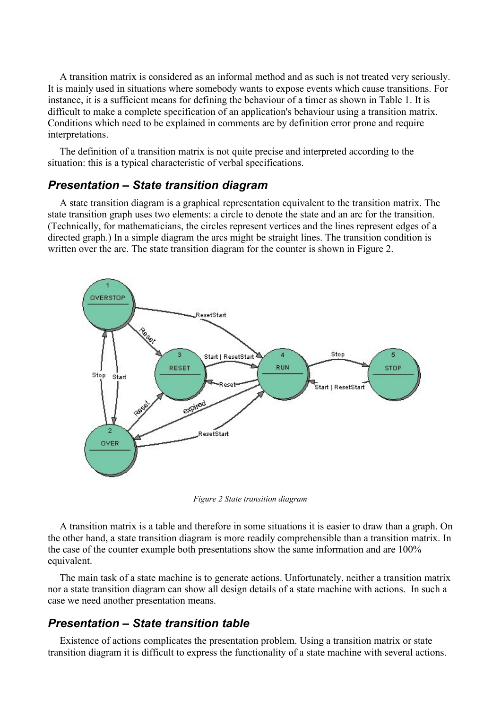A transition matrix is considered as an informal method and as such is not treated very seriously. It is mainly used in situations where somebody wants to expose events which cause transitions. For instance, it is a sufficient means for defining the behaviour of a timer as shown in [Table 1.](#page-1-1) It is difficult to make a complete specification of an application's behaviour using a transition matrix. Conditions which need to be explained in comments are by definition error prone and require interpretations.

The definition of a transition matrix is not quite precise and interpreted according to the situation: this is a typical characteristic of verbal specifications.

#### *Presentation – State transition diagram*

A state transition diagram is a graphical representation equivalent to the transition matrix. The state transition graph uses two elements: a circle to denote the state and an arc for the transition. (Technically, for mathematicians, the circles represent vertices and the lines represent edges of a directed graph.) In a simple diagram the arcs might be straight lines. The transition condition is written over the arc. The state transition diagram for the counter is shown in [Figure 2](#page-3-0).



<span id="page-3-0"></span>*Figure 2 State transition diagram*

A transition matrix is a table and therefore in some situations it is easier to draw than a graph. On the other hand, a state transition diagram is more readily comprehensible than a transition matrix. In the case of the counter example both presentations show the same information and are 100% equivalent.

The main task of a state machine is to generate actions. Unfortunately, neither a transition matrix nor a state transition diagram can show all design details of a state machine with actions. In such a case we need another presentation means.

#### *Presentation – State transition table*

Existence of actions complicates the presentation problem. Using a transition matrix or state transition diagram it is difficult to express the functionality of a state machine with several actions.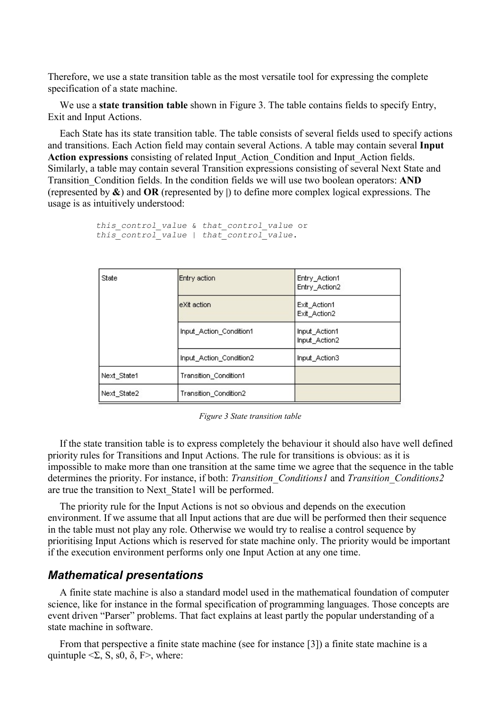Therefore, we use a state transition table as the most versatile tool for expressing the complete specification of a state machine.

We use a **state transition table** shown in [Figure 3.](#page-4-0) The table contains fields to specify Entry, Exit and Input Actions.

Each State has its state transition table. The table consists of several fields used to specify actions and transitions. Each Action field may contain several Actions. A table may contain several **Input Action expressions** consisting of related Input\_Action\_Condition and Input\_Action fields. Similarly, a table may contain several Transition expressions consisting of several Next State and Transition\_Condition fields. In the condition fields we will use two boolean operators: **AND** (represented by **&**) and **OR** (represented by **|**) to define more complex logical expressions. The usage is as intuitively understood:

```
this_control_value & that_control_value or
this_control_value | that_control_value.
```

| State       | Entry action            | Entry_Action1<br>Entry_Action2 |
|-------------|-------------------------|--------------------------------|
|             | leXit action.           | Exit_Action1<br>Exit_Action2   |
|             | Input Action Condition1 | Input Action1<br>Input_Action2 |
|             | Input Action Condition2 | Input Action3                  |
| Next State1 | Transition Condition1   |                                |
| Next_State2 | Transition_Condition2   |                                |

<span id="page-4-0"></span>*Figure 3 State transition table*

If the state transition table is to express completely the behaviour it should also have well defined priority rules for Transitions and Input Actions. The rule for transitions is obvious: as it is impossible to make more than one transition at the same time we agree that the sequence in the table determines the priority. For instance, if both: *Transition\_Conditions1* and *Transition\_Conditions2* are true the transition to Next\_State1 will be performed.

The priority rule for the Input Actions is not so obvious and depends on the execution environment. If we assume that all Input actions that are due will be performed then their sequence in the table must not play any role. Otherwise we would try to realise a control sequence by prioritising Input Actions which is reserved for state machine only. The priority would be important if the execution environment performs only one Input Action at any one time.

#### *Mathematical presentations*

A finite state machine is also a standard model used in the mathematical foundation of computer science, like for instance in the formal specification of programming languages. Those concepts are event driven "Parser" problems. That fact explains at least partly the popular understanding of a state machine in software.

From that perspective a finite state machine (see for instance [3]) a finite state machine is a quintuple  $\leq\Sigma$ , S, s0,  $\delta$ , F $>$ , where: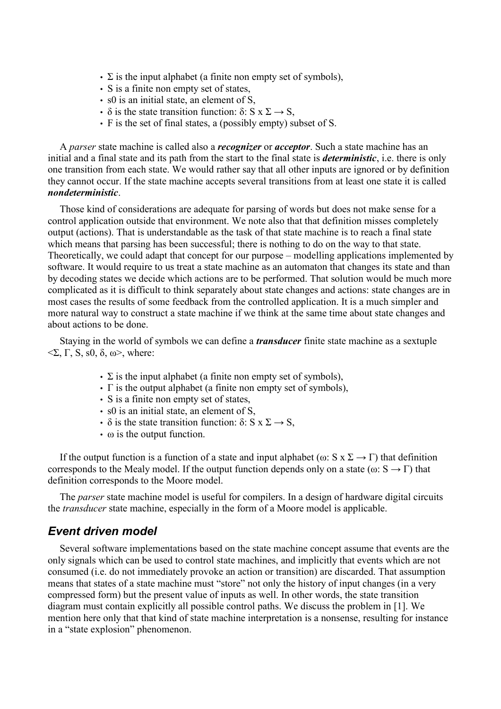- $\Sigma$  is the input alphabet (a finite non empty set of symbols),
- S is a finite non empty set of states,
- s0 is an initial state, an element of S,
- δ is the state transition function: δ:  $S \times \Sigma \rightarrow S$ ,
- F is the set of final states, a (possibly empty) subset of S.

A *parser* state machine is called also a *recognizer* or *acceptor*. Such a state machine has an initial and a final state and its path from the start to the final state is *deterministic*, i.e. there is only one transition from each state. We would rather say that all other inputs are ignored or by definition they cannot occur. If the state machine accepts several transitions from at least one state it is called *nondeterministic*.

Those kind of considerations are adequate for parsing of words but does not make sense for a control application outside that environment. We note also that that definition misses completely output (actions). That is understandable as the task of that state machine is to reach a final state which means that parsing has been successful; there is nothing to do on the way to that state. Theoretically, we could adapt that concept for our purpose – modelling applications implemented by software. It would require to us treat a state machine as an automaton that changes its state and than by decoding states we decide which actions are to be performed. That solution would be much more complicated as it is difficult to think separately about state changes and actions: state changes are in most cases the results of some feedback from the controlled application. It is a much simpler and more natural way to construct a state machine if we think at the same time about state changes and about actions to be done.

Staying in the world of symbols we can define a *transducer* finite state machine as a sextuple  $\langle \Sigma, \Gamma, S, s0, \delta, \omega \rangle$ , where:

- $\cdot$  Σ is the input alphabet (a finite non empty set of symbols),
- Γ is the output alphabet (a finite non empty set of symbols),
- S is a finite non empty set of states,
- s0 is an initial state, an element of S.
- $\delta$  is the state transition function:  $\delta$ : S x  $\Sigma \rightarrow S$ ,
- $\cdot$   $\omega$  is the output function.

If the output function is a function of a state and input alphabet ( $\omega$ : S x  $\Sigma \rightarrow \Gamma$ ) that definition corresponds to the Mealy model. If the output function depends only on a state ( $\omega: S \to \Gamma$ ) that definition corresponds to the Moore model.

The *parser* state machine model is useful for compilers. In a design of hardware digital circuits the *transducer* state machine, especially in the form of a Moore model is applicable.

#### *Event driven model*

Several software implementations based on the state machine concept assume that events are the only signals which can be used to control state machines, and implicitly that events which are not consumed (i.e. do not immediately provoke an action or transition) are discarded. That assumption means that states of a state machine must "store" not only the history of input changes (in a very compressed form) but the present value of inputs as well. In other words, the state transition diagram must contain explicitly all possible control paths. We discuss the problem in [1]. We mention here only that that kind of state machine interpretation is a nonsense, resulting for instance in a "state explosion" phenomenon.